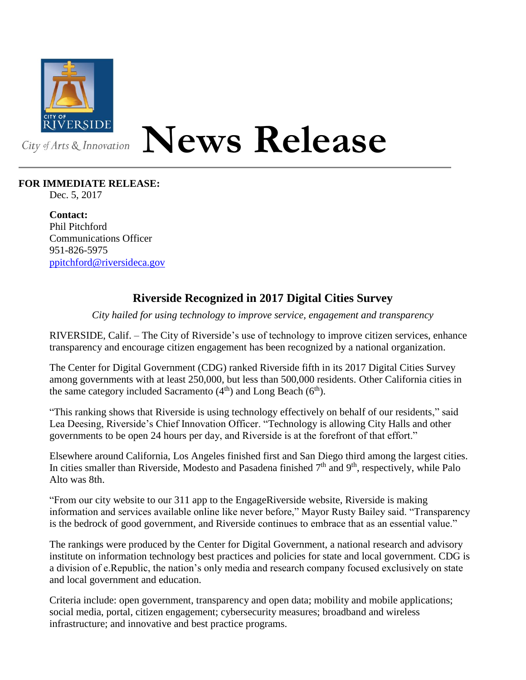

## **News Release**

## **FOR IMMEDIATE RELEASE:**

Dec. 5, 2017

**Contact:** Phil Pitchford Communications Officer 951-826-5975 [ppitchford@riversideca.gov](mailto:ppitchford@riversideca.gov)

## **Riverside Recognized in 2017 Digital Cities Survey**

*City hailed for using technology to improve service, engagement and transparency*

RIVERSIDE, Calif. – The City of Riverside's use of technology to improve citizen services, enhance transparency and encourage citizen engagement has been recognized by a national organization.

The Center for Digital Government (CDG) ranked Riverside fifth in its 2017 Digital Cities Survey among governments with at least 250,000, but less than 500,000 residents. Other California cities in the same category included Sacramento  $(4<sup>th</sup>)$  and Long Beach  $(6<sup>th</sup>)$ .

"This ranking shows that Riverside is using technology effectively on behalf of our residents," said Lea Deesing, Riverside's Chief Innovation Officer. "Technology is allowing City Halls and other governments to be open 24 hours per day, and Riverside is at the forefront of that effort."

Elsewhere around California, Los Angeles finished first and San Diego third among the largest cities. In cities smaller than Riverside, Modesto and Pasadena finished 7<sup>th</sup> and 9<sup>th</sup>, respectively, while Palo Alto was 8th.

"From our city website to our 311 app to the EngageRiverside website, Riverside is making information and services available online like never before," Mayor Rusty Bailey said. "Transparency is the bedrock of good government, and Riverside continues to embrace that as an essential value."

The rankings were produced by the Center for Digital Government, a national research and advisory institute on information technology best practices and policies for state and local government. CDG is a division of e.Republic, the nation's only media and research company focused exclusively on state and local government and education.

Criteria include: open government, transparency and open data; mobility and mobile applications; social media, portal, citizen engagement; cybersecurity measures; broadband and wireless infrastructure; and innovative and best practice programs.